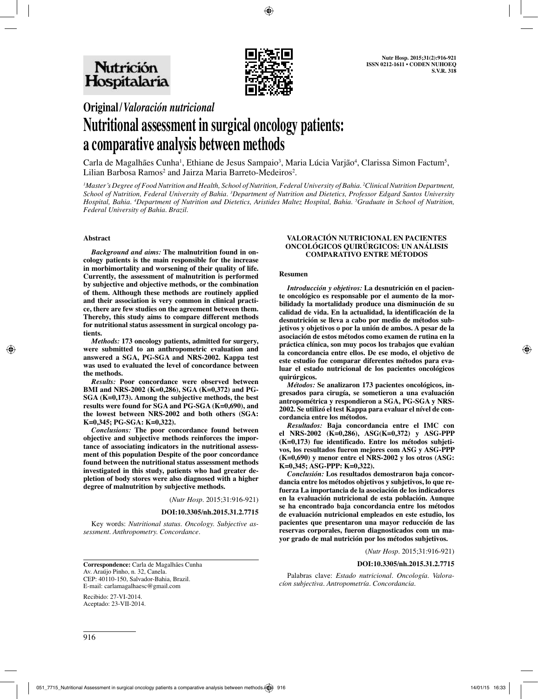

# **Original/***Valoración nutricional*

# **Nutritional assessment in surgical oncology patients: a comparative analysis between methods**

Carla de Magalhães Cunha<sup>i</sup>, Ethiane de Jesus Sampaio<sup>3</sup>, Maria Lúcia Varjão<sup>4</sup>, Clarissa Simon Factum<sup>3</sup>, Lilian Barbosa  $Ramos<sup>2</sup>$  and Jairza Maria Barreto-Medeiros<sup>2</sup>.

*1 Master's Degree of Food Nutrition and Health, School of Nutrition, Federal University of Bahia. 2 Clinical Nutrition Department, School of Nutrition, Federal University of Bahia. 3 Department of Nutrition and Dietetics, Professor Edgard Santos University Hospital, Bahia. 4 Department of Nutrition and Dietetics, Aristides Maltez Hospital, Bahia. 5 Graduate in School of Nutrition, Federal University of Bahia. Brazil.*

#### **Abstract**

*Background and aims:* **The malnutrition found in oncology patients is the main responsible for the increase in morbimortality and worsening of their quality of life. Currently, the assessment of malnutrition is performed by subjective and objective methods, or the combination of them. Although these methods are routinely applied and their association is very common in clinical practice, there are few studies on the agreement between them. Thereby, this study aims to compare different methods for nutritional status assessment in surgical oncology patients.**

*Methods:* **173 oncology patients, admitted for surgery, were submitted to an anthropometric evaluation and answered a SGA, PG-SGA and NRS-2002. Kappa test was used to evaluated the level of concordance between the methods.**

*Results:* **Poor concordance were observed between BMI and NRS-2002 (K=0,286), SGA (K=0,372) and PG-SGA (K=0,173). Among the subjective methods, the best results were found for SGA and PG-SGA (K=0,690), and the lowest between NRS-2002 and both others (SGA: K=0,345; PG-SGA: K=0,322).**

*Conclusions:* **The poor concordance found between objective and subjective methods reinforces the importance of associating indicators in the nutritional assessment of this population Despite of the poor concordance found between the nutritional status assessment methods investigated in this study, patients who had greater depletion of body stores were also diagnosed with a higher degree of malnutrition by subjective methods.**

(*Nutr Hosp.* 2015;31:916-921)

#### **DOI:10.3305/nh.2015.31.2.7715**

Key words: *Nutritional status. Oncology. Subjective assessment. Anthropometry. Concordance.*

#### **VALORACIÓN NUTRICIONAL EN PACIENTES ONCOLÓGICOS QUIRÚRGICOS: UN ANÁLISIS COMPARATIVO ENTRE MÉTODOS**

#### **Resumen**

*Introducción y objetivos:* **La desnutrición en el paciente oncológico es responsable por el aumento de la morbilidady la mortalidady produce una disminución de su calidad de vida. En la actualidad, la identificación de la desnutrición se lleva a cabo por medio de métodos subjetivos y objetivos o por la unión de ambos. A pesar de la asociación de estos métodos como examen de rutina en la práctica clínica, son muy pocos los trabajos que evalúan la concordancia entre ellos. De ese modo, el objetivo de este estudio fue comparar diferentes métodos para evaluar el estado nutricional de los pacientes oncológicos quirúrgicos.**

*Métodos:* **Se analizaron 173 pacientes oncológicos, ingresados para cirugía, se sometieron a una evaluación antropométrica y respondieron a SGA, PG-SGA y NRS-2002. Se utilizó el test Kappa para evaluar el nível de concordancia entre los métodos.**

*Resultados:* **Baja concordancia entre el IMC con el NRS-2002 (K=0,286), ASG(K=0,372) y ASG-PPP (K=0,173) fue identificado. Entre los métodos subjetivos, los resultados fueron mejores com ASG y ASG-PPP (K=0,690) y menor entre el NRS-2002 y los otros (ASG: K=0,345; ASG-PPP: K=0,322).**

*Conclusión:* **Los resultados demostraron baja concordancia entre los métodos objetivos y subjetivos, lo que refuerza La importancia de la asociación de los indicadores en la evaluación nutricional de esta población. Aunque se ha encontrado baja concordancia entre los métodos de evaluación nutricional empleados en este estudio, los pacientes que presentaron una mayor reducción de las reservas corporales, fueron diagnosticados com un mayor grado de mal nutrición por los métodos subjetivos.**

(*Nutr Hosp.* 2015;31:916-921)

#### **DOI:10.3305/nh.2015.31.2.7715**

Palabras clave: *Estado nutricional. Oncología. Valoracíon subjectiva. Antropometría. Concordancia.*

Av. Araújo Pinho, n. 32, Canela. CEP: 40110-150, Salvador-Bahia, Brazil. E-mail: carlamagalhaesc@gmail.com

**Correspondence:** Carla de Magalhães Cunha

Recibido: 27-VI-2014. Aceptado: 23-VII-2014.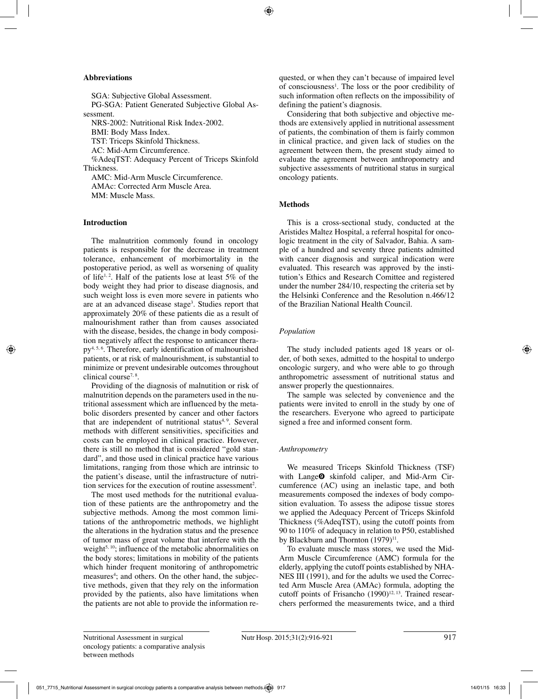#### **Abbreviations**

SGA: Subjective Global Assessment. PG-SGA: Patient Generated Subjective Global Assessment. NRS-2002: Nutritional Risk Index-2002. BMI: Body Mass Index. TST: Triceps Skinfold Thickness. AC: Mid-Arm Circumference. %AdeqTST: Adequacy Percent of Triceps Skinfold Thickness.

AMC: Mid-Arm Muscle Circumference. AMAc: Corrected Arm Muscle Area. MM: Muscle Mass.

# **Introduction**

The malnutrition commonly found in oncology patients is responsible for the decrease in treatment tolerance, enhancement of morbimortality in the postoperative period, as well as worsening of quality of life<sup>1, 2</sup>. Half of the patients lose at least  $5\%$  of the body weight they had prior to disease diagnosis, and such weight loss is even more severe in patients who are at an advanced disease stage3 . Studies report that approximately 20% of these patients die as a result of malnourishment rather than from causes associated with the disease, besides, the change in body composition negatively affect the response to anticancer therapy<sup>4, 5, 6</sup>. Therefore, early identification of malnourished patients, or at risk of malnourishment, is substantial to minimize or prevent undesirable outcomes throughout clinical course7, <sup>8</sup> .

Providing of the diagnosis of malnutition or risk of malnutrition depends on the parameters used in the nutritional assessment which are influenced by the metabolic disorders presented by cancer and other factors that are independent of nutritional status<sup>4, 9</sup>. Several methods with different sensitivities, specificities and costs can be employed in clinical practice. However, there is still no method that is considered "gold standard", and those used in clinical practice have various limitations, ranging from those which are intrinsic to the patient's disease, until the infrastructure of nutrition services for the execution of routine assessment<sup>2</sup>.

The most used methods for the nutritional evaluation of these patients are the anthropometry and the subjective methods. Among the most common limitations of the anthropometric methods, we highlight the alterations in the hydration status and the presence of tumor mass of great volume that interfere with the weight<sup>5, 10</sup>; influence of the metabolic abnormalities on the body stores; limitations in mobility of the patients which hinder frequent monitoring of anthropometric measures<sup>4</sup>; and others. On the other hand, the subjective methods, given that they rely on the information provided by the patients, also have limitations when the patients are not able to provide the information requested, or when they can't because of impaired level of consciousness<sup>1</sup>. The loss or the poor credibility of such information often reflects on the impossibility of defining the patient's diagnosis.

Considering that both subjective and objective methods are extensively applied in nutritional assessment of patients, the combination of them is fairly common in clinical practice, and given lack of studies on the agreement between them, the present study aimed to evaluate the agreement between anthropometry and subjective assessments of nutritional status in surgical oncology patients.

# **Methods**

This is a cross-sectional study, conducted at the Aristides Maltez Hospital, a referral hospital for oncologic treatment in the city of Salvador, Bahia. A sample of a hundred and seventy three patients admitted with cancer diagnosis and surgical indication were evaluated. This research was approved by the institution's Ethics and Research Comittee and registered under the number 284/10, respecting the criteria set by the Helsinki Conference and the Resolution n.466/12 of the Brazilian National Health Council.

### *Population*

The study included patients aged 18 years or older, of both sexes, admitted to the hospital to undergo oncologic surgery, and who were able to go through anthropometric assessment of nutritional status and answer properly the questionnaires.

The sample was selected by convenience and the patients were invited to enroll in the study by one of the researchers. Everyone who agreed to participate signed a free and informed consent form.

#### *Anthropometry*

We measured Triceps Skinfold Thickness (TSF) with Lange<sup>O</sup> skinfold caliper, and Mid-Arm Circumference (AC) using an inelastic tape, and both measurements composed the indexes of body composition evaluation. To assess the adipose tissue stores we applied the Adequacy Percent of Triceps Skinfold Thickness (%AdeqTST), using the cutoff points from 90 to 110% of adequacy in relation to P50, established by Blackburn and Thornton  $(1979)^{11}$ .

To evaluate muscle mass stores, we used the Mid-Arm Muscle Circumference (AMC) formula for the elderly, applying the cutoff points established by NHA-NES III (1991), and for the adults we used the Corrected Arm Muscle Area (AMAc) formula, adopting the cutoff points of Frisancho  $(1990)^{12, 13}$ . Trained researchers performed the measurements twice, and a third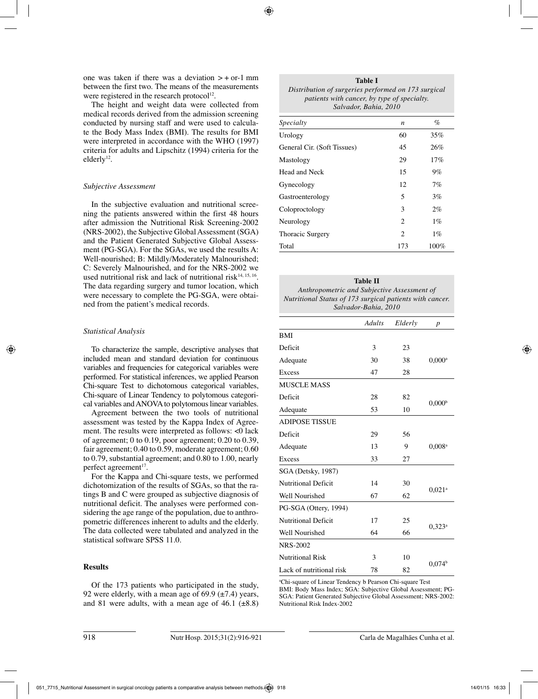one was taken if there was a deviation  $\geq +$  or-1 mm between the first two. The means of the measurements were registered in the research protocol $12$ .

The height and weight data were collected from medical records derived from the admission screening conducted by nursing staff and were used to calculate the Body Mass Index (BMI). The results for BMI were interpreted in accordance with the WHO (1997) criteria for adults and Lipschitz (1994) criteria for the elderly<sup>12</sup>.

### *Subjective Assessment*

In the subjective evaluation and nutritional screening the patients answered within the first 48 hours after admission the Nutritional Risk Screening-2002 (NRS-2002), the Subjective Global Assessment (SGA) and the Patient Generated Subjective Global Assessment (PG-SGA). For the SGAs, we used the results A: Well-nourished; B: Mildly/Moderately Malnourished; C: Severely Malnourished, and for the NRS-2002 we used nutritional risk and lack of nutritional risk $14, 15, 16$ . The data regarding surgery and tumor location, which were necessary to complete the PG-SGA, were obtained from the patient's medical records.

### *Statistical Analysis*

To characterize the sample, descriptive analyses that included mean and standard deviation for continuous variables and frequencies for categorical variables were performed. For statistical inferences, we applied Pearson Chi-square Test to dichotomous categorical variables, Chi-square of Linear Tendency to polytomous categorical variables and ANOVA to polytomous linear variables.

Agreement between the two tools of nutritional assessment was tested by the Kappa Index of Agreement. The results were interpreted as follows: <0 lack of agreement; 0 to 0.19, poor agreement; 0.20 to 0.39, fair agreement; 0.40 to 0.59, moderate agreement; 0.60 to 0.79, substantial agreement; and 0.80 to 1.00, nearly perfect agreement<sup>17</sup>.

For the Kappa and Chi-square tests, we performed dichotomization of the results of SGAs, so that the ratings B and C were grouped as subjective diagnosis of nutritional deficit. The analyses were performed considering the age range of the population, due to anthropometric differences inherent to adults and the elderly. The data collected were tabulated and analyzed in the statistical software SPSS 11.0.

# **Results**

Of the 173 patients who participated in the study, 92 were elderly, with a mean age of  $69.9 \ (\pm 7.4)$  years, and 81 were adults, with a mean age of 46.1  $(\pm 8.8)$ 

| Table I                                             |  |  |  |  |  |
|-----------------------------------------------------|--|--|--|--|--|
| Distribution of surgeries performed on 173 surgical |  |  |  |  |  |
| patients with cancer, by type of specialty.         |  |  |  |  |  |
| Salvador, Bahia, 2010                               |  |  |  |  |  |

| Specialty                   | n                           | $\%$    |
|-----------------------------|-----------------------------|---------|
| Urology                     | 60                          | 35%     |
| General Cir. (Soft Tissues) | 45                          | 26%     |
| Mastology                   | 29                          | 17%     |
| Head and Neck               | 15                          | 9%      |
| Gynecology                  | 12                          | 7%      |
| Gastroenterology            | 5                           | 3%      |
| Coloproctology              | 3                           | $2\%$   |
| Neurology                   | $\overline{c}$              | $1\%$   |
| <b>Thoracic Surgery</b>     | $\mathcal{D}_{\mathcal{L}}$ | $1\%$   |
| Total                       | 173                         | $100\%$ |

**Table II** *Anthropometric and Subjective Assessment of Nutritional Status of 173 surgical patients with cancer. Salvador-Bahia, 2010*

|                            | Adults | Elderly | $\boldsymbol{p}$     |  |
|----------------------------|--------|---------|----------------------|--|
| <b>BMI</b>                 |        |         |                      |  |
| Deficit                    | 3      | 23      |                      |  |
| Adequate                   | 30     | 38      | $0.000$ <sup>a</sup> |  |
| Excess                     | 47     | 28      |                      |  |
| <b>MUSCLE MASS</b>         |        |         |                      |  |
| Deficit                    | 28     | 82      |                      |  |
| Adequate                   | 53     | 10      | 0.000 <sup>b</sup>   |  |
| <b>ADIPOSE TISSUE</b>      |        |         |                      |  |
| Deficit                    | 29     | 56      |                      |  |
| Adequate                   | 13     | 9       | $0.008$ <sup>a</sup> |  |
| Excess                     | 33     | 27      |                      |  |
| SGA (Detsky, 1987)         |        |         |                      |  |
| <b>Nutritional Deficit</b> | 14     | 30      |                      |  |
| Well Nourished             | 67     | 62      | $0.021$ <sup>a</sup> |  |
| PG-SGA (Ottery, 1994)      |        |         |                      |  |
| <b>Nutritional Deficit</b> | 17     | 25      |                      |  |
| Well Nourished             | 64     | 66      | $0.323^a$            |  |
| NRS-2002                   |        |         |                      |  |
| <b>Nutritional Risk</b>    | 3      | 10      |                      |  |
| Lack of nutritional risk   | 78     | 82      | 0.074 <sup>b</sup>   |  |

a Chi-square of Linear Tendency b Pearson Chi-square Test BMI: Body Mass Index; SGA: Subjective Global Assessment; PG-SGA: Patient Generated Subjective Global Assessment; NRS-2002: Nutritional Risk Index-2002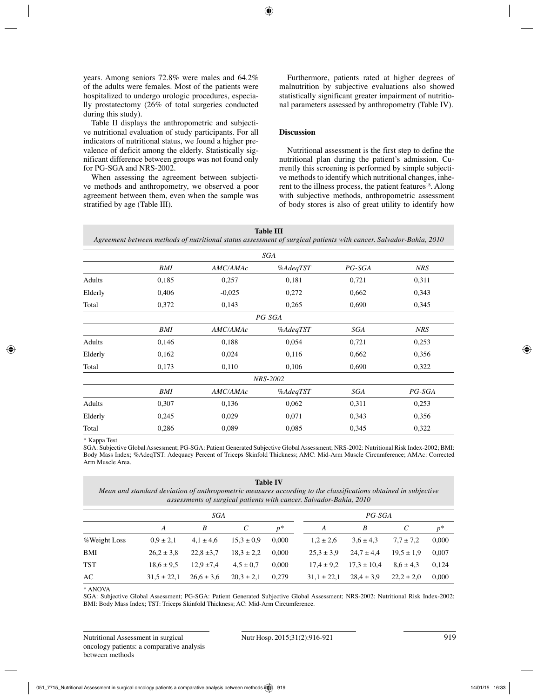years. Among seniors 72.8% were males and 64.2% of the adults were females. Most of the patients were hospitalized to undergo urologic procedures, especially prostatectomy (26% of total surgeries conducted during this study).

Table II displays the anthropometric and subjective nutritional evaluation of study participants. For all indicators of nutritional status, we found a higher prevalence of deficit among the elderly. Statistically significant difference between groups was not found only for PG-SGA and NRS-2002.

When assessing the agreement between subjective methods and anthropometry, we observed a poor agreement between them, even when the sample was stratified by age (Table III).

Furthermore, patients rated at higher degrees of malnutrition by subjective evaluations also showed statistically significant greater impairment of nutritional parameters assessed by anthropometry (Table IV).

#### **Discussion**

Nutritional assessment is the first step to define the nutritional plan during the patient's admission. Currently this screening is performed by simple subjective methods to identify which nutritional changes, inherent to the illness process, the patient features<sup>18</sup>. Along with subjective methods, anthropometric assessment of body stores is also of great utility to identify how

**Table III** *Agreement between methods of nutritional status assessment of surgical patients with cancer. Salvador-Bahia, 2010*

|         |            |          | SGA             |           |            |  |
|---------|------------|----------|-----------------|-----------|------------|--|
|         | <b>BMI</b> | AMC/AMAc | % AdeqTST       | $PG$ -SGA | <b>NRS</b> |  |
| Adults  | 0,185      | 0,257    | 0,181           | 0,721     | 0,311      |  |
| Elderly | 0,406      | $-0.025$ | 0,272           | 0,662     | 0,343      |  |
| Total   | 0,372      | 0,143    | 0,265           | 0,690     | 0,345      |  |
|         |            |          | $PG$ -SGA       |           |            |  |
|         | BMI        | AMC/AMAc | % AdeqTST       | SGA       | <b>NRS</b> |  |
| Adults  | 0,146      | 0,188    | 0,054           | 0,721     | 0,253      |  |
| Elderly | 0,162      | 0,024    | 0,116           | 0,662     | 0,356      |  |
| Total   | 0,173      | 0,110    | 0,106           | 0,690     | 0,322      |  |
|         |            |          | <b>NRS-2002</b> |           |            |  |
|         | BMI        | AMC/AMAc | % AdeqTST       | SGA       | $PG$ -SGA  |  |
| Adults  | 0,307      | 0,136    | 0,062           | 0,311     | 0,253      |  |
| Elderly | 0,245      | 0,029    | 0,071           | 0,343     | 0,356      |  |
| Total   | 0,286      | 0,089    | 0,085           | 0,345     | 0,322      |  |

\* Kappa Test

SGA: Subjective Global Assessment; PG-SGA: Patient Generated Subjective Global Assessment; NRS-2002: Nutritional Risk Index-2002; BMI: Body Mass Index; %AdeqTST: Adequacy Percent of Triceps Skinfold Thickness; AMC: Mid-Arm Muscle Circumference; AMAc: Corrected Arm Muscle Area.

#### **Table IV**

*Mean and standard deviation of anthropometric measures according to the classifications obtained in subjective assessments of surgical patients with cancer. Salvador-Bahia, 2010*

|              | SGA             |                |                | $PG$ -SGA |                 |                 |                |       |
|--------------|-----------------|----------------|----------------|-----------|-----------------|-----------------|----------------|-------|
|              | А               | B              |                | $p^*$     | А               | B               |                | $p^*$ |
| %Weight Loss | $0.9 \pm 2.1$   | $4.1 \pm 4.6$  | $15.3 \pm 0.9$ | 0.000     | $1.2 \pm 2.6$   | $3.6 \pm 4.3$   | $7.7 \pm 7.2$  | 0,000 |
| BMI          | $26.2 \pm 3.8$  | $22.8 \pm 3.7$ | $18.3 \pm 2.2$ | 0.000     | $25.3 \pm 3.9$  | $24.7 \pm 4.4$  | $19.5 \pm 1.9$ | 0,007 |
| <b>TST</b>   | $18.6 \pm 9.5$  | $12.9 \pm 7.4$ | $4.5 \pm 0.7$  | 0.000     | $17.4 \pm 9.2$  | $17.3 \pm 10.4$ | $8.6 \pm 4.3$  | 0.124 |
| AC           | $31.5 \pm 22.1$ | $26.6 \pm 3.6$ | $20.3 \pm 2.1$ | 0.279     | $31.1 \pm 22.1$ | $28.4 \pm 3.9$  | $22.2 \pm 2.0$ | 0,000 |

\* ANOVA

SGA: Subjective Global Assessment; PG-SGA: Patient Generated Subjective Global Assessment; NRS-2002: Nutritional Risk Index-2002; BMI: Body Mass Index; TST: Triceps Skinfold Thickness; AC: Mid-Arm Circumference.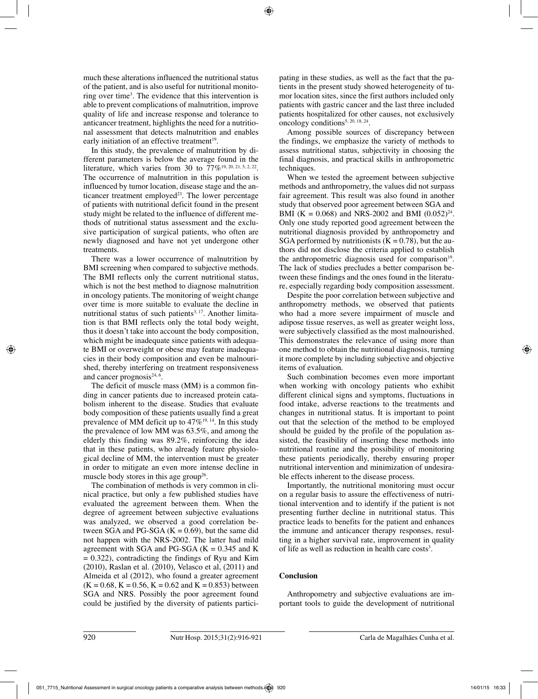much these alterations influenced the nutritional status of the patient, and is also useful for nutritional monitoring over time<sup>3</sup>. The evidence that this intervention is able to prevent complications of malnutrition, improve quality of life and increase response and tolerance to anticancer treatment, highlights the need for a nutritional assessment that detects malnutrition and enables early initiation of an effective treatment<sup>19</sup>.

In this study, the prevalence of malnutrition by different parameters is below the average found in the literature, which varies from 30 to  $77\%$ <sup>19, 20, 21, 5, 2, 22</sup>. The occurrence of malnutrition in this population is influenced by tumor location, disease stage and the anticancer treatment employed<sup>23</sup>. The lower percentage of patients with nutritional deficit found in the present study might be related to the influence of different methods of nutritional status assessment and the exclusive participation of surgical patients, who often are newly diagnosed and have not yet undergone other treatments.

There was a lower occurrence of malnutrition by BMI screening when compared to subjective methods. The BMI reflects only the current nutritional status, which is not the best method to diagnose malnutrition in oncology patients. The monitoring of weight change over time is more suitable to evaluate the decline in nutritional status of such patients<sup>3, 17</sup>. Another limitation is that BMI reflects only the total body weight, thus it doesn't take into account the body composition, which might be inadequate since patients with adequate BMI or overweight or obese may feature inadequacies in their body composition and even be malnourished, thereby interfering on treatment responsiveness and cancer prognosis $24, 6$ .

The deficit of muscle mass (MM) is a common finding in cancer patients due to increased protein catabolism inherent to the disease. Studies that evaluate body composition of these patients usually find a great prevalence of MM deficit up to 47%<sup>19, 14</sup>. In this study the prevalence of low MM was 63.5%, and among the elderly this finding was 89.2%, reinforcing the idea that in these patients, who already feature physiological decline of MM, the intervention must be greater in order to mitigate an even more intense decline in muscle body stores in this age group<sup>26</sup>.

The combination of methods is very common in clinical practice, but only a few published studies have evaluated the agreement between them. When the degree of agreement between subjective evaluations was analyzed, we observed a good correlation between SGA and PG-SGA  $(K = 0.69)$ , but the same did not happen with the NRS-2002. The latter had mild agreement with SGA and PG-SGA  $(K = 0.345$  and K  $= 0.322$ ), contradicting the findings of Ryu and Kim (2010), Raslan et al. (2010), Velasco et al, (2011) and Almeida et al (2012), who found a greater agreement  $(K = 0.68, K = 0.56, K = 0.62$  and  $K = 0.853$ ) between SGA and NRS. Possibly the poor agreement found could be justified by the diversity of patients participating in these studies, as well as the fact that the patients in the present study showed heterogeneity of tumor location sites, since the first authors included only patients with gastric cancer and the last three included patients hospitalized for other causes, not exclusively oncology conditions<sup>5, 20, 18, 24</sup>.

Among possible sources of discrepancy between the findings, we emphasize the variety of methods to assess nutritional status, subjectivity in choosing the final diagnosis, and practical skills in anthropometric techniques.

When we tested the agreement between subjective methods and anthropometry, the values did not surpass fair agreement. This result was also found in another study that observed poor agreement between SGA and BMI (K = 0.068) and NRS-2002 and BMI  $(0.052)^{24}$ . Only one study reported good agreement between the nutritional diagnosis provided by anthropometry and SGA performed by nutritionists  $(K = 0.78)$ , but the authors did not disclose the criteria applied to establish the anthropometric diagnosis used for comparison $19$ . The lack of studies precludes a better comparison between these findings and the ones found in the literature, especially regarding body composition assessment.

Despite the poor correlation between subjective and anthropometry methods, we observed that patients who had a more severe impairment of muscle and adipose tissue reserves, as well as greater weight loss, were subjectively classified as the most malnourished. This demonstrates the relevance of using more than one method to obtain the nutritional diagnosis, turning it more complete by including subjective and objective items of evaluation.

Such combination becomes even more important when working with oncology patients who exhibit different clinical signs and symptoms, fluctuations in food intake, adverse reactions to the treatments and changes in nutritional status. It is important to point out that the selection of the method to be employed should be guided by the profile of the population assisted, the feasibility of inserting these methods into nutritional routine and the possibility of monitoring these patients periodically, thereby ensuring proper nutritional intervention and minimization of undesirable effects inherent to the disease process.

Importantly, the nutritional monitoring must occur on a regular basis to assure the effectiveness of nutritional intervention and to identify if the patient is not presenting further decline in nutritional status. This practice leads to benefits for the patient and enhances the immune and anticancer therapy responses, resulting in a higher survival rate, improvement in quality of life as well as reduction in health care costs<sup>3</sup>.

#### **Conclusion**

Anthropometry and subjective evaluations are important tools to guide the development of nutritional